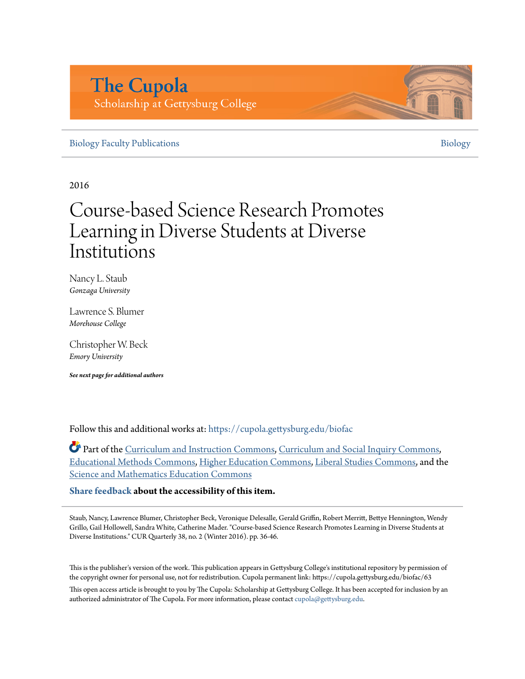# **The Cupola** Scholarship at Gettysburg College

[Biology Faculty Publications](https://cupola.gettysburg.edu/biofac?utm_source=cupola.gettysburg.edu%2Fbiofac%2F63&utm_medium=PDF&utm_campaign=PDFCoverPages) and the state of the state of the state of the state of the [Biology](https://cupola.gettysburg.edu/biology?utm_source=cupola.gettysburg.edu%2Fbiofac%2F63&utm_medium=PDF&utm_campaign=PDFCoverPages) Biology Biology

2016

# Course-based Science Research Promotes Learning in Diverse Students at Diverse Institutions

Nancy L. Staub *Gonzaga University*

Lawrence S. Blumer *Morehouse College*

Christopher W. Beck *Emory University*

*See next page for additional authors*

Follow this and additional works at: [https://cupola.gettysburg.edu/biofac](https://cupola.gettysburg.edu/biofac?utm_source=cupola.gettysburg.edu%2Fbiofac%2F63&utm_medium=PDF&utm_campaign=PDFCoverPages)

Part of the [Curriculum and Instruction Commons](http://network.bepress.com/hgg/discipline/786?utm_source=cupola.gettysburg.edu%2Fbiofac%2F63&utm_medium=PDF&utm_campaign=PDFCoverPages), [Curriculum and Social Inquiry Commons](http://network.bepress.com/hgg/discipline/1038?utm_source=cupola.gettysburg.edu%2Fbiofac%2F63&utm_medium=PDF&utm_campaign=PDFCoverPages), [Educational Methods Commons,](http://network.bepress.com/hgg/discipline/1227?utm_source=cupola.gettysburg.edu%2Fbiofac%2F63&utm_medium=PDF&utm_campaign=PDFCoverPages) [Higher Education Commons,](http://network.bepress.com/hgg/discipline/1245?utm_source=cupola.gettysburg.edu%2Fbiofac%2F63&utm_medium=PDF&utm_campaign=PDFCoverPages) [Liberal Studies Commons,](http://network.bepress.com/hgg/discipline/1042?utm_source=cupola.gettysburg.edu%2Fbiofac%2F63&utm_medium=PDF&utm_campaign=PDFCoverPages) and the [Science and Mathematics Education Commons](http://network.bepress.com/hgg/discipline/800?utm_source=cupola.gettysburg.edu%2Fbiofac%2F63&utm_medium=PDF&utm_campaign=PDFCoverPages)

**[Share feedback](https://docs.google.com/a/bepress.com/forms/d/1h9eEcpBPj5POs5oO6Y5A0blXRmZqykoonyYiZUNyEq8/viewform) about the accessibility of this item.**

Staub, Nancy, Lawrence Blumer, Christopher Beck, Veronique Delesalle, Gerald Griffin, Robert Merritt, Bettye Hennington, Wendy Grillo, Gail Hollowell, Sandra White, Catherine Mader. "Course-based Science Research Promotes Learning in Diverse Students at Diverse Institutions." CUR Quarterly 38, no. 2 (Winter 2016). pp. 36-46.

This is the publisher's version of the work. This publication appears in Gettysburg College's institutional repository by permission of the copyright owner for personal use, not for redistribution. Cupola permanent link: https://cupola.gettysburg.edu/biofac/63

This open access article is brought to you by The Cupola: Scholarship at Gettysburg College. It has been accepted for inclusion by an authorized administrator of The Cupola. For more information, please contact [cupola@gettysburg.edu.](mailto:cupola@gettysburg.edu)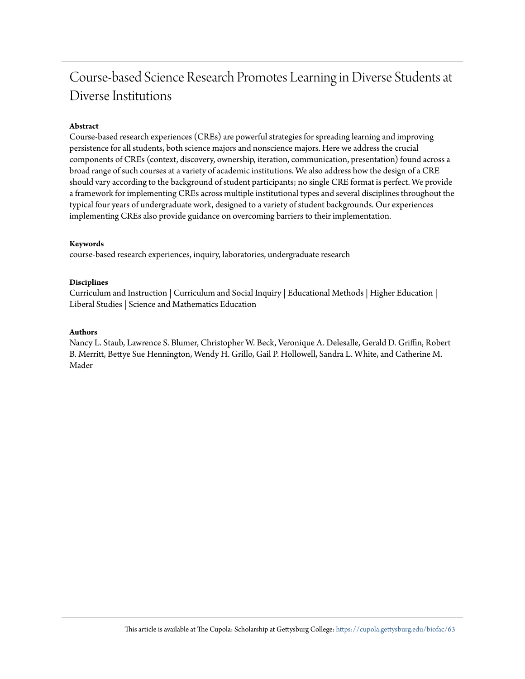# Course-based Science Research Promotes Learning in Diverse Students at Diverse Institutions

### **Abstract**

Course-based research experiences (CREs) are powerful strategies for spreading learning and improving persistence for all students, both science majors and nonscience majors. Here we address the crucial components of CREs (context, discovery, ownership, iteration, communication, presentation) found across a broad range of such courses at a variety of academic institutions. We also address how the design of a CRE should vary according to the background of student participants; no single CRE format is perfect. We provide a framework for implementing CREs across multiple institutional types and several disciplines throughout the typical four years of undergraduate work, designed to a variety of student backgrounds. Our experiences implementing CREs also provide guidance on overcoming barriers to their implementation.

#### **Keywords**

course-based research experiences, inquiry, laboratories, undergraduate research

### **Disciplines**

Curriculum and Instruction | Curriculum and Social Inquiry | Educational Methods | Higher Education | Liberal Studies | Science and Mathematics Education

#### **Authors**

Nancy L. Staub, Lawrence S. Blumer, Christopher W. Beck, Veronique A. Delesalle, Gerald D. Griffin, Robert B. Merritt, Bettye Sue Hennington, Wendy H. Grillo, Gail P. Hollowell, Sandra L. White, and Catherine M. Mader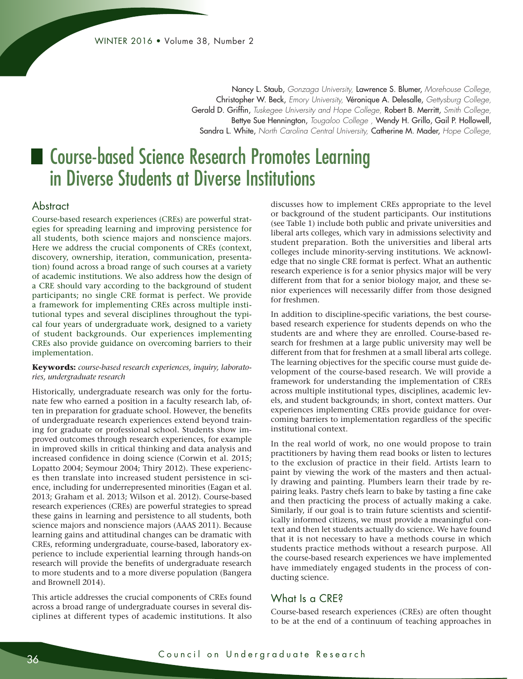Nancy L. Staub, *Gonzaga University,* Lawrence S. Blumer, *Morehouse College,*  Christopher W. Beck, *Emory University,* Véronique A. Delesalle, *Gettysburg College,*  Gerald D. Griffin, *Tuskegee University and Hope College,* Robert B. Merritt, *Smith College,*  Bettye Sue Hennington, *Tougaloo College ,* Wendy H. Grillo, Gail P. Hollowell, Sandra L. White, *North Carolina Central University,* Catherine M. Mader, *Hope College,* 

# ■ Course-based Science Research Promotes Learning in Diverse Students at Diverse Institutions

# **Abstract**

Course-based research experiences (CREs) are powerful strategies for spreading learning and improving persistence for all students, both science majors and nonscience majors. Here we address the crucial components of CREs (context, discovery, ownership, iteration, communication, presentation) found across a broad range of such courses at a variety of academic institutions. We also address how the design of a CRE should vary according to the background of student participants; no single CRE format is perfect. We provide a framework for implementing CREs across multiple institutional types and several disciplines throughout the typical four years of undergraduate work, designed to a variety of student backgrounds. Our experiences implementing CREs also provide guidance on overcoming barriers to their implementation.

#### **Keywords:** *course-based research experiences, inquiry, laboratories, undergraduate research*

Historically, undergraduate research was only for the fortunate few who earned a position in a faculty research lab, often in preparation for graduate school. However, the benefits of undergraduate research experiences extend beyond training for graduate or professional school. Students show improved outcomes through research experiences, for example in improved skills in critical thinking and data analysis and increased confidence in doing science (Corwin et al. 2015; Lopatto 2004; Seymour 2004; Thiry 2012). These experiences then translate into increased student persistence in science, including for underrepresented minorities (Eagan et al. 2013; Graham et al. 2013; Wilson et al. 2012). Course-based research experiences (CREs) are powerful strategies to spread these gains in learning and persistence to all students, both science majors and nonscience majors (AAAS 2011). Because learning gains and attitudinal changes can be dramatic with CREs, reforming undergraduate, course-based, laboratory experience to include experiential learning through hands-on research will provide the benefits of undergraduate research to more students and to a more diverse population (Bangera and Brownell 2014).

This article addresses the crucial components of CREs found across a broad range of undergraduate courses in several disciplines at different types of academic institutions. It also discusses how to implement CREs appropriate to the level or background of the student participants. Our institutions (see Table 1) include both public and private universities and liberal arts colleges, which vary in admissions selectivity and student preparation. Both the universities and liberal arts colleges include minority-serving institutions. We acknowledge that no single CRE format is perfect. What an authentic research experience is for a senior physics major will be very different from that for a senior biology major, and these senior experiences will necessarily differ from those designed for freshmen.

In addition to discipline-specific variations, the best coursebased research experience for students depends on who the students are and where they are enrolled. Course-based research for freshmen at a large public university may well be different from that for freshmen at a small liberal arts college. The learning objectives for the specific course must guide development of the course-based research. We will provide a framework for understanding the implementation of CREs across multiple institutional types, disciplines, academic levels, and student backgrounds; in short, context matters. Our experiences implementing CREs provide guidance for overcoming barriers to implementation regardless of the specific institutional context.

In the real world of work, no one would propose to train practitioners by having them read books or listen to lectures to the exclusion of practice in their field. Artists learn to paint by viewing the work of the masters and then actually drawing and painting. Plumbers learn their trade by repairing leaks. Pastry chefs learn to bake by tasting a fine cake and then practicing the process of actually making a cake. Similarly, if our goal is to train future scientists and scientifically informed citizens, we must provide a meaningful context and then let students actually do science. We have found that it is not necessary to have a methods course in which students practice methods without a research purpose. All the course-based research experiences we have implemented have immediately engaged students in the process of conducting science.

# What Is a CRE<sub>8</sub>

Course-based research experiences (CREs) are often thought to be at the end of a continuum of teaching approaches in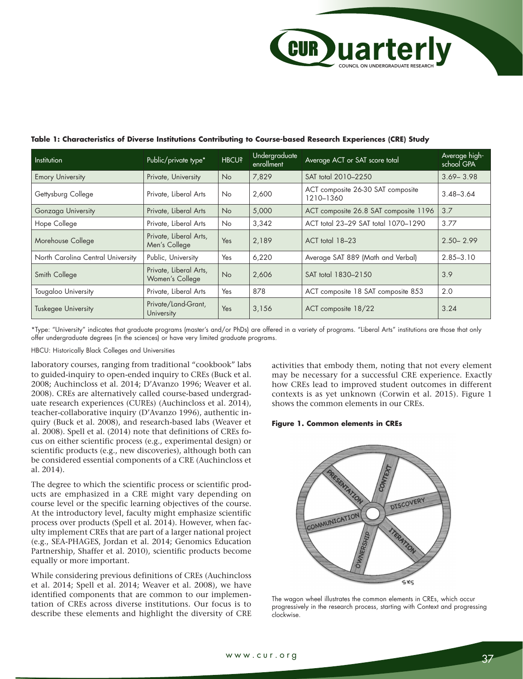| Institution                       | Public/private type*                      | <b>HBCU?</b> | Undergraduate<br>enrollment | Average ACT or SAT score total                 | Average high-<br>school GPA |
|-----------------------------------|-------------------------------------------|--------------|-----------------------------|------------------------------------------------|-----------------------------|
| <b>Emory University</b>           | Private, University                       | <b>No</b>    | 7,829                       | SAT total 2010-2250                            | $3.69 - 3.98$               |
| Gettysburg College                | Private, Liberal Arts                     | No.          | 2,600                       | ACT composite 26-30 SAT composite<br>1210-1360 | $3.48 - 3.64$               |
| Gonzaga University                | Private, Liberal Arts                     | <b>No</b>    | 5,000                       | ACT composite 26.8 SAT composite 1196          | 3.7                         |
| Hope College                      | Private, Liberal Arts                     | <b>No</b>    | 3,342                       | ACT total 23-29 SAT total 1070-1290            | 3.77                        |
| Morehouse College                 | Private, Liberal Arts,<br>Men's College   | Yes          | 2,189                       | ACT total 18-23                                | $2.50 - 2.99$               |
| North Carolina Central University | Public, University                        | Yes          | 6,220                       | Average SAT 889 (Math and Verbal)              | $2.85 - 3.10$               |
| Smith College                     | Private, Liberal Arts,<br>Women's College | <b>No</b>    | 2,606                       | SAT total 1830-2150                            | 3.9                         |
| <b>Tougaloo University</b>        | Private, Liberal Arts                     | Yes          | 878                         | ACT composite 18 SAT composite 853             | 2.0                         |
| <b>Tuskegee University</b>        | Private/Land-Grant,<br>University         | Yes          | 3,156                       | ACT composite 18/22                            | 3.24                        |

## **Table 1: Characteristics of Diverse Institutions Contributing to Course-based Research Experiences (CRE) Study**

\*Type: "University" indicates that graduate programs (master's and/or PhDs) are offered in a variety of programs. "Liberal Arts" institutions are those that only offer undergraduate degrees (in the sciences) or have very limited graduate programs.

HBCU: Historically Black Colleges and Universities

laboratory courses, ranging from traditional "cookbook" labs to guided-inquiry to open-ended inquiry to CREs (Buck et al. 2008; Auchincloss et al. 2014; D'Avanzo 1996; Weaver et al. 2008). CREs are alternatively called course-based undergraduate research experiences (CUREs) (Auchincloss et al. 2014), teacher-collaborative inquiry (D'Avanzo 1996), authentic inquiry (Buck et al. 2008), and research-based labs (Weaver et al. 2008). Spell et al. (2014) note that definitions of CREs focus on either scientific process (e.g., experimental design) or scientific products (e.g., new discoveries), although both can be considered essential components of a CRE (Auchincloss et al. 2014).

The degree to which the scientific process or scientific products are emphasized in a CRE might vary depending on course level or the specific learning objectives of the course. At the introductory level, faculty might emphasize scientific process over products (Spell et al. 2014). However, when faculty implement CREs that are part of a larger national project (e.g., SEA-PHAGES, Jordan et al. 2014; Genomics Education Partnership, Shaffer et al. 2010), scientific products become equally or more important.

While considering previous definitions of CREs (Auchincloss et al. 2014; Spell et al. 2014; Weaver et al. 2008), we have identified components that are common to our implementation of CREs across diverse institutions. Our focus is to describe these elements and highlight the diversity of CRE activities that embody them, noting that not every element may be necessary for a successful CRE experience. Exactly how CREs lead to improved student outcomes in different contexts is as yet unknown (Corwin et al. 2015). Figure 1 shows the common elements in our CREs.

### **Figure 1. Common elements in CREs**



The wagon wheel illustrates the common elements in CREs, which occur progressively in the research process, starting with Context and progressing clockwise.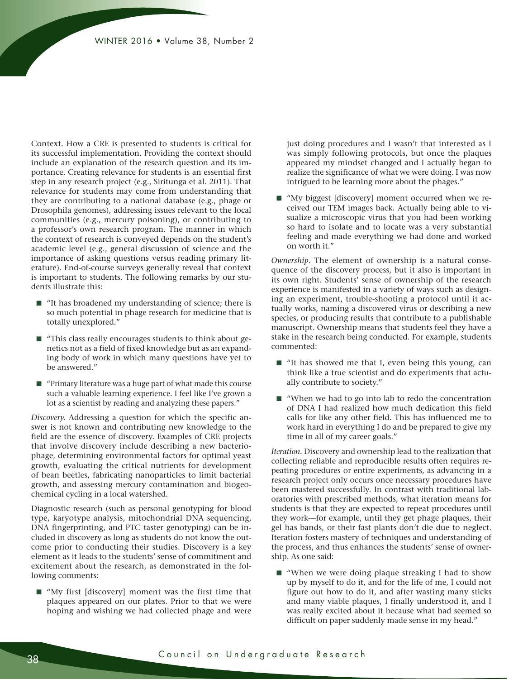Context. How a CRE is presented to students is critical for its successful implementation. Providing the context should include an explanation of the research question and its importance. Creating relevance for students is an essential first step in any research project (e.g., Siritunga et al. 2011). That relevance for students may come from understanding that they are contributing to a national database (e.g., phage or Drosophila genomes), addressing issues relevant to the local communities (e.g., mercury poisoning), or contributing to a professor's own research program. The manner in which the context of research is conveyed depends on the student's academic level (e.g., general discussion of science and the importance of asking questions versus reading primary literature). End-of-course surveys generally reveal that context is important to students. The following remarks by our students illustrate this:

- "It has broadened my understanding of science; there is so much potential in phage research for medicine that is totally unexplored."
- "This class really encourages students to think about genetics not as a field of fixed knowledge but as an expanding body of work in which many questions have yet to be answered."
- "Primary literature was a huge part of what made this course such a valuable learning experience. I feel like I've grown a lot as a scientist by reading and analyzing these papers."

*Discovery.* Addressing a question for which the specific answer is not known and contributing new knowledge to the field are the essence of discovery. Examples of CRE projects that involve discovery include describing a new bacteriophage, determining environmental factors for optimal yeast growth, evaluating the critical nutrients for development of bean beetles, fabricating nanoparticles to limit bacterial growth, and assessing mercury contamination and biogeochemical cycling in a local watershed.

Diagnostic research (such as personal genotyping for blood type, karyotype analysis, mitochondrial DNA sequencing, DNA fingerprinting, and PTC taster genotyping) can be included in discovery as long as students do not know the outcome prior to conducting their studies. Discovery is a key element as it leads to the students' sense of commitment and excitement about the research, as demonstrated in the following comments:

■ "My first [discovery] moment was the first time that plaques appeared on our plates. Prior to that we were hoping and wishing we had collected phage and were just doing procedures and I wasn't that interested as I was simply following protocols, but once the plaques appeared my mindset changed and I actually began to realize the significance of what we were doing. I was now intrigued to be learning more about the phages."

■ "My biggest [discovery] moment occurred when we received our TEM images back. Actually being able to visualize a microscopic virus that you had been working so hard to isolate and to locate was a very substantial feeling and made everything we had done and worked on worth it."

*Ownership.* The element of ownership is a natural consequence of the discovery process, but it also is important in its own right. Students' sense of ownership of the research experience is manifested in a variety of ways such as designing an experiment, trouble-shooting a protocol until it actually works, naming a discovered virus or describing a new species, or producing results that contribute to a publishable manuscript. Ownership means that students feel they have a stake in the research being conducted. For example, students commented:

- "It has showed me that I, even being this young, can think like a true scientist and do experiments that actually contribute to society."
- "When we had to go into lab to redo the concentration of DNA I had realized how much dedication this field calls for like any other field. This has influenced me to work hard in everything I do and be prepared to give my time in all of my career goals."

*Iteration.* Discovery and ownership lead to the realization that collecting reliable and reproducible results often requires repeating procedures or entire experiments, as advancing in a research project only occurs once necessary procedures have been mastered successfully. In contrast with traditional laboratories with prescribed methods, what iteration means for students is that they are expected to repeat procedures until they work—for example, until they get phage plaques, their gel has bands, or their fast plants don't die due to neglect. Iteration fosters mastery of techniques and understanding of the process, and thus enhances the students' sense of ownership. As one said:

■ "When we were doing plaque streaking I had to show up by myself to do it, and for the life of me, I could not figure out how to do it, and after wasting many sticks and many viable plaques, I finally understood it, and I was really excited about it because what had seemed so difficult on paper suddenly made sense in my head."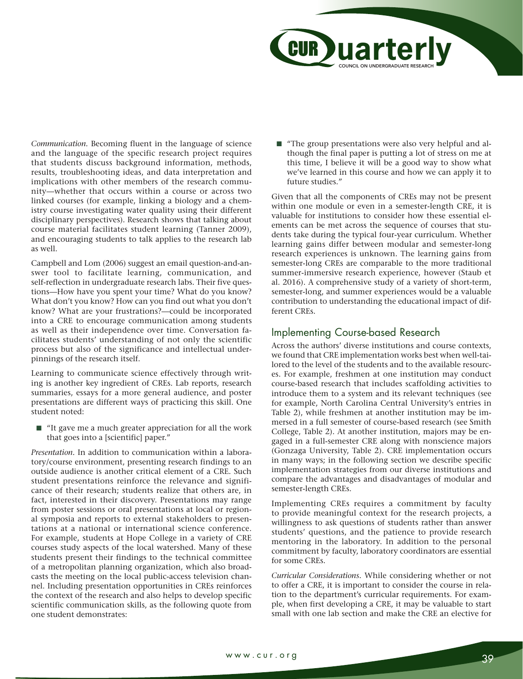

*Communication.* Becoming fluent in the language of science and the language of the specific research project requires that students discuss background information, methods, results, troubleshooting ideas, and data interpretation and implications with other members of the research community—whether that occurs within a course or across two linked courses (for example, linking a biology and a chemistry course investigating water quality using their different disciplinary perspectives). Research shows that talking about course material facilitates student learning (Tanner 2009), and encouraging students to talk applies to the research lab as well.

Campbell and Lom (2006) suggest an email question-and-answer tool to facilitate learning, communication, and self-reflection in undergraduate research labs. Their five questions—How have you spent your time? What do you know? What don't you know? How can you find out what you don't know? What are your frustrations?—could be incorporated into a CRE to encourage communication among students as well as their independence over time. Conversation facilitates students' understanding of not only the scientific process but also of the significance and intellectual underpinnings of the research itself.

Learning to communicate science effectively through writing is another key ingredient of CREs. Lab reports, research summaries, essays for a more general audience, and poster presentations are different ways of practicing this skill. One student noted:

■ "It gave me a much greater appreciation for all the work that goes into a [scientific] paper."

*Presentation.* In addition to communication within a laboratory/course environment, presenting research findings to an outside audience is another critical element of a CRE. Such student presentations reinforce the relevance and significance of their research; students realize that others are, in fact, interested in their discovery. Presentations may range from poster sessions or oral presentations at local or regional symposia and reports to external stakeholders to presentations at a national or international science conference. For example, students at Hope College in a variety of CRE courses study aspects of the local watershed. Many of these students present their findings to the technical committee of a metropolitan planning organization, which also broadcasts the meeting on the local public-access television channel. Including presentation opportunities in CREs reinforces the context of the research and also helps to develop specific scientific communication skills, as the following quote from one student demonstrates:

■ "The group presentations were also very helpful and although the final paper is putting a lot of stress on me at this time, I believe it will be a good way to show what we've learned in this course and how we can apply it to future studies."

Given that all the components of CREs may not be present within one module or even in a semester-length CRE, it is valuable for institutions to consider how these essential elements can be met across the sequence of courses that students take during the typical four-year curriculum. Whether learning gains differ between modular and semester-long research experiences is unknown. The learning gains from semester-long CREs are comparable to the more traditional summer-immersive research experience, however (Staub et al. 2016). A comprehensive study of a variety of short-term, semester-long, and summer experiences would be a valuable contribution to understanding the educational impact of different CREs.

# Implementing Course-based Research

Across the authors' diverse institutions and course contexts, we found that CRE implementation works best when well-tailored to the level of the students and to the available resources. For example, freshmen at one institution may conduct course-based research that includes scaffolding activities to introduce them to a system and its relevant techniques (see for example, North Carolina Central University's entries in Table 2), while freshmen at another institution may be immersed in a full semester of course-based research (see Smith College, Table 2). At another institution, majors may be engaged in a full-semester CRE along with nonscience majors (Gonzaga University, Table 2). CRE implementation occurs in many ways; in the following section we describe specific implementation strategies from our diverse institutions and compare the advantages and disadvantages of modular and semester-length CREs.

Implementing CREs requires a commitment by faculty to provide meaningful context for the research projects, a willingness to ask questions of students rather than answer students' questions, and the patience to provide research mentoring in the laboratory. In addition to the personal commitment by faculty, laboratory coordinators are essential for some CREs.

*Curricular Considerations.* While considering whether or not to offer a CRE, it is important to consider the course in relation to the department's curricular requirements. For example, when first developing a CRE, it may be valuable to start small with one lab section and make the CRE an elective for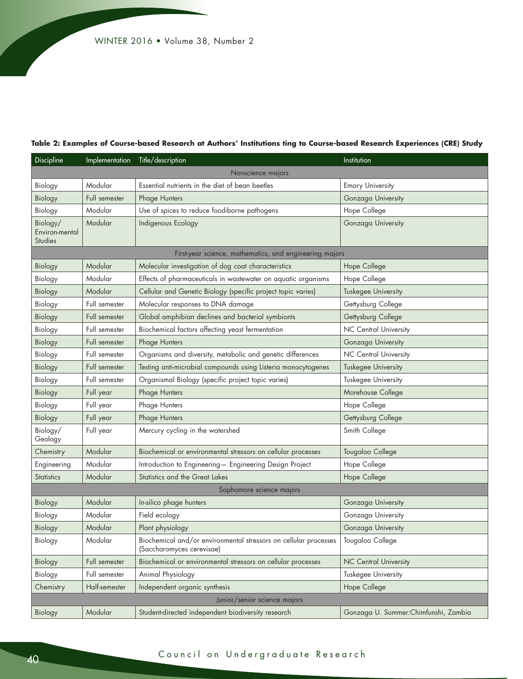#### **Table 2: Examples of Course-based Research at Authors' Institutions ting to Course-based Research Experiences (CRE) Study**

| Discipline                            | Implementation | Title/description                                                                             | Institution                           |  |  |  |  |
|---------------------------------------|----------------|-----------------------------------------------------------------------------------------------|---------------------------------------|--|--|--|--|
| Nonscience majors                     |                |                                                                                               |                                       |  |  |  |  |
| Biology                               | Modular        | Essential nutrients in the diet of bean beetles                                               | <b>Emory University</b>               |  |  |  |  |
| Biology                               | Full semester  | Phage Hunters                                                                                 | Gonzaga University                    |  |  |  |  |
| Biology                               | Modular        | Use of spices to reduce food-borne pathogens                                                  | Hope College                          |  |  |  |  |
| Biology/<br>Environ-mental<br>Studies | Modular        | Indigenous Ecology                                                                            | Gonzaga University                    |  |  |  |  |
|                                       |                | First-year science, mathematics, and engineering majors                                       |                                       |  |  |  |  |
| Biology                               | Modular        | Molecular investigation of dog coat characteristics                                           | Hope College                          |  |  |  |  |
| Biology                               | Modular        | Effects of pharmaceuticals in wastewater on aquatic organisms                                 | Hope College                          |  |  |  |  |
| Biology                               | Modular        | Cellular and Genetic Biology (specific project topic varies)                                  | Tuskegee University                   |  |  |  |  |
| Biology                               | Full semester  | Molecular responses to DNA damage                                                             | Gettysburg College                    |  |  |  |  |
| Biology                               | Full semester  | Global amphibian declines and bacterial symbionts                                             | Gettysburg College                    |  |  |  |  |
| Biology                               | Full semester  | Biochemical factors affecting yeast fermentation                                              | <b>NC Central University</b>          |  |  |  |  |
| Biology                               | Full semester  | Phage Hunters                                                                                 | Gonzaga University                    |  |  |  |  |
| Biology                               | Full semester  | Organisms and diversity, metabolic and genetic differences                                    | NC Central University                 |  |  |  |  |
| Biology                               | Full semester  | Testing anti-microbial compounds using Listeria monocytogenes                                 | Tuskegee University                   |  |  |  |  |
| Biology                               | Full semester  | Organismal Biology (specific project topic varies)                                            | Tuskegee University                   |  |  |  |  |
| Biology                               | Full year      | Phage Hunters                                                                                 | Morehouse College                     |  |  |  |  |
| Biology                               | Full year      | Phage Hunters                                                                                 | Hope College                          |  |  |  |  |
| Biology                               | Full year      | Phage Hunters                                                                                 | Gettysburg College                    |  |  |  |  |
| Biology/<br>Geology                   | Full year      | Mercury cycling in the watershed                                                              | Smith College                         |  |  |  |  |
| Chemistry                             | Modular        | Biochemical or environmental stressors on cellular processes                                  | Tougaloo College                      |  |  |  |  |
| Engineering                           | Modular        | Introduction to Engineering- Engineering Design Project                                       | Hope College                          |  |  |  |  |
| <b>Statistics</b>                     | Modular        | Statistics and the Great Lakes                                                                | Hope College                          |  |  |  |  |
| Sophomore science majors              |                |                                                                                               |                                       |  |  |  |  |
| Biology                               | Modular        | In-silico phage hunters                                                                       | Gonzaga University                    |  |  |  |  |
| Biology                               | Modular        | Field ecology                                                                                 | Gonzaga University                    |  |  |  |  |
| Biology                               | Modular        | Plant physiology                                                                              | Gonzaga University                    |  |  |  |  |
| Biology                               | Modular        | Biochemical and/or environmental stressors on cellular processes<br>(Saccharomyces cerevisae) | Tougaloo College                      |  |  |  |  |
| Biology                               | Full semester  | Biochemical or environmental stressors on cellular processes                                  | NC Central University                 |  |  |  |  |
| Biology                               | Full semester  | Animal Physiology                                                                             | Tuskegee University                   |  |  |  |  |
| Chemistry                             | Half-semester  | Independent organic synthesis                                                                 | Hope College                          |  |  |  |  |
| Junior/senior science majors          |                |                                                                                               |                                       |  |  |  |  |
| Biology                               | Modular        | Student-directed independent biodiversity research                                            | Gonzaga U. Summer: Chimfunshi, Zambia |  |  |  |  |

# <sup>40</sup> Council on Undergraduate Research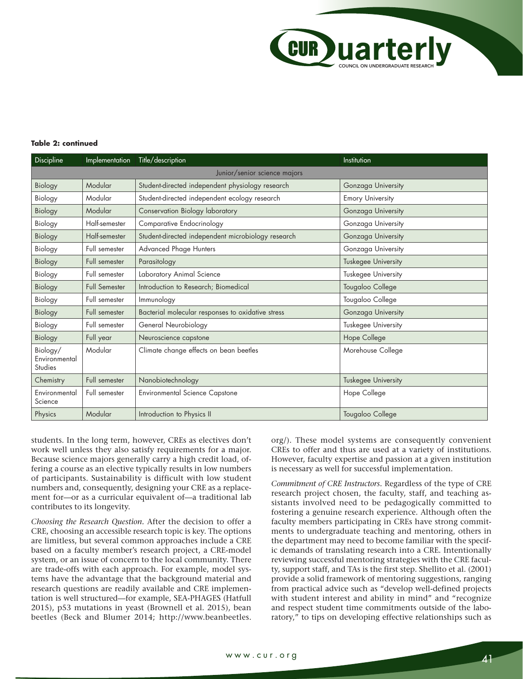

#### **Table 2: continued**

| Discipline                           | Implementation       | Title/description                                  | Institution                |  |  |  |
|--------------------------------------|----------------------|----------------------------------------------------|----------------------------|--|--|--|
| Junior/senior science majors         |                      |                                                    |                            |  |  |  |
| Biology                              | Modular              | Student-directed independent physiology research   | Gonzaga University         |  |  |  |
| Biology                              | Modular              | Student-directed independent ecology research      | <b>Emory University</b>    |  |  |  |
| Biology                              | Modular              | Conservation Biology laboratory                    | Gonzaga University         |  |  |  |
| Biology                              | Half-semester        | Comparative Endocrinology                          | Gonzaga University         |  |  |  |
| Biology                              | Half-semester        | Student-directed independent microbiology research | Gonzaga University         |  |  |  |
| Biology                              | Full semester        | <b>Advanced Phage Hunters</b>                      | Gonzaga University         |  |  |  |
| Biology                              | Full semester        | Parasitology                                       | <b>Tuskegee University</b> |  |  |  |
| Biology                              | Full semester        | Laboratory Animal Science                          | Tuskegee University        |  |  |  |
| Biology                              | <b>Full Semester</b> | Introduction to Research; Biomedical               | Tougaloo College           |  |  |  |
| Biology                              | Full semester        | Immunology                                         | Tougaloo College           |  |  |  |
| Biology                              | Full semester        | Bacterial molecular responses to oxidative stress  | Gonzaga University         |  |  |  |
| Biology                              | Full semester        | General Neurobiology                               | Tuskegee University        |  |  |  |
| Biology                              | Full year            | Neuroscience capstone                              | Hope College               |  |  |  |
| Biology/<br>Environmental<br>Studies | Modular              | Climate change effects on bean beetles             | Morehouse College          |  |  |  |
| Chemistry                            | Full semester        | Nanobiotechnology                                  | <b>Tuskegee University</b> |  |  |  |
| Environmental<br>Science             | Full semester        | <b>Environmental Science Capstone</b>              | Hope College               |  |  |  |
| Physics                              | Modular              | Introduction to Physics II                         | Tougaloo College           |  |  |  |

students. In the long term, however, CREs as electives don't work well unless they also satisfy requirements for a major. Because science majors generally carry a high credit load, offering a course as an elective typically results in low numbers of participants. Sustainability is difficult with low student numbers and, consequently, designing your CRE as a replacement for—or as a curricular equivalent of—a traditional lab contributes to its longevity.

*Choosing the Research Question.* After the decision to offer a CRE, choosing an accessible research topic is key. The options are limitless, but several common approaches include a CRE based on a faculty member's research project, a CRE-model system, or an issue of concern to the local community. There are trade-offs with each approach. For example, model systems have the advantage that the background material and research questions are readily available and CRE implementation is well structured—for example, SEA-PHAGES (Hatfull 2015), p53 mutations in yeast (Brownell et al. 2015), bean beetles (Beck and Blumer 2014; http://www.beanbeetles. org/). These model systems are consequently convenient CREs to offer and thus are used at a variety of institutions. However, faculty expertise and passion at a given institution is necessary as well for successful implementation.

*Commitment of CRE Instructors.* Regardless of the type of CRE research project chosen, the faculty, staff, and teaching assistants involved need to be pedagogically committed to fostering a genuine research experience. Although often the faculty members participating in CREs have strong commitments to undergraduate teaching and mentoring, others in the department may need to become familiar with the specific demands of translating research into a CRE. Intentionally reviewing successful mentoring strategies with the CRE faculty, support staff, and TAs is the first step. Shellito et al. (2001) provide a solid framework of mentoring suggestions, ranging from practical advice such as "develop well-defined projects with student interest and ability in mind" and "recognize and respect student time commitments outside of the laboratory," to tips on developing effective relationships such as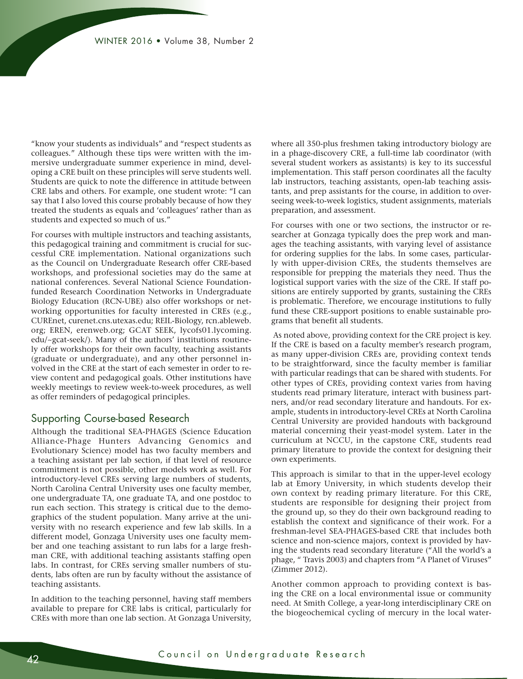"know your students as individuals" and "respect students as colleagues." Although these tips were written with the immersive undergraduate summer experience in mind, developing a CRE built on these principles will serve students well. Students are quick to note the difference in attitude between CRE labs and others. For example, one student wrote: "I can say that I also loved this course probably because of how they treated the students as equals and 'colleagues' rather than as students and expected so much of us."

For courses with multiple instructors and teaching assistants, this pedagogical training and commitment is crucial for successful CRE implementation. National organizations such as the Council on Undergraduate Research offer CRE-based workshops, and professional societies may do the same at national conferences. Several National Science Foundationfunded Research Coordination Networks in Undergraduate Biology Education (RCN-UBE) also offer workshops or networking opportunities for faculty interested in CREs (e.g., CUREnet, curenet.cns.utexas.edu; REIL-Biology, rcn.ableweb. org; EREN, erenweb.org; GCAT SEEK, lycofs01.lycoming. edu/~gcat-seek/). Many of the authors' institutions routinely offer workshops for their own faculty, teaching assistants (graduate or undergraduate), and any other personnel involved in the CRE at the start of each semester in order to review content and pedagogical goals. Other institutions have weekly meetings to review week-to-week procedures, as well as offer reminders of pedagogical principles.

## Supporting Course-based Research

Although the traditional SEA-PHAGES (Science Education Alliance-Phage Hunters Advancing Genomics and Evolutionary Science) model has two faculty members and a teaching assistant per lab section, if that level of resource commitment is not possible, other models work as well. For introductory-level CREs serving large numbers of students, North Carolina Central University uses one faculty member, one undergraduate TA, one graduate TA, and one postdoc to run each section. This strategy is critical due to the demographics of the student population. Many arrive at the university with no research experience and few lab skills. In a different model, Gonzaga University uses one faculty member and one teaching assistant to run labs for a large freshman CRE, with additional teaching assistants staffing open labs. In contrast, for CREs serving smaller numbers of students, labs often are run by faculty without the assistance of teaching assistants.

In addition to the teaching personnel, having staff members available to prepare for CRE labs is critical, particularly for CREs with more than one lab section. At Gonzaga University, where all 350-plus freshmen taking introductory biology are in a phage-discovery CRE, a full-time lab coordinator (with several student workers as assistants) is key to its successful implementation. This staff person coordinates all the faculty lab instructors, teaching assistants, open-lab teaching assistants, and prep assistants for the course, in addition to overseeing week-to-week logistics, student assignments, materials preparation, and assessment.

For courses with one or two sections, the instructor or researcher at Gonzaga typically does the prep work and manages the teaching assistants, with varying level of assistance for ordering supplies for the labs. In some cases, particularly with upper-division CREs, the students themselves are responsible for prepping the materials they need. Thus the logistical support varies with the size of the CRE. If staff positions are entirely supported by grants, sustaining the CREs is problematic. Therefore, we encourage institutions to fully fund these CRE-support positions to enable sustainable programs that benefit all students.

 As noted above, providing context for the CRE project is key. If the CRE is based on a faculty member's research program, as many upper-division CREs are, providing context tends to be straightforward, since the faculty member is familiar with particular readings that can be shared with students. For other types of CREs, providing context varies from having students read primary literature, interact with business partners, and/or read secondary literature and handouts. For example, students in introductory-level CREs at North Carolina Central University are provided handouts with background material concerning their yeast-model system. Later in the curriculum at NCCU, in the capstone CRE, students read primary literature to provide the context for designing their own experiments.

This approach is similar to that in the upper-level ecology lab at Emory University, in which students develop their own context by reading primary literature. For this CRE, students are responsible for designing their project from the ground up, so they do their own background reading to establish the context and significance of their work. For a freshman-level SEA-PHAGES-based CRE that includes both science and non-science majors, context is provided by having the students read secondary literature ("All the world's a phage, " Travis 2003) and chapters from "A Planet of Viruses" (Zimmer 2012).

Another common approach to providing context is basing the CRE on a local environmental issue or community need. At Smith College, a year-long interdisciplinary CRE on the biogeochemical cycling of mercury in the local water-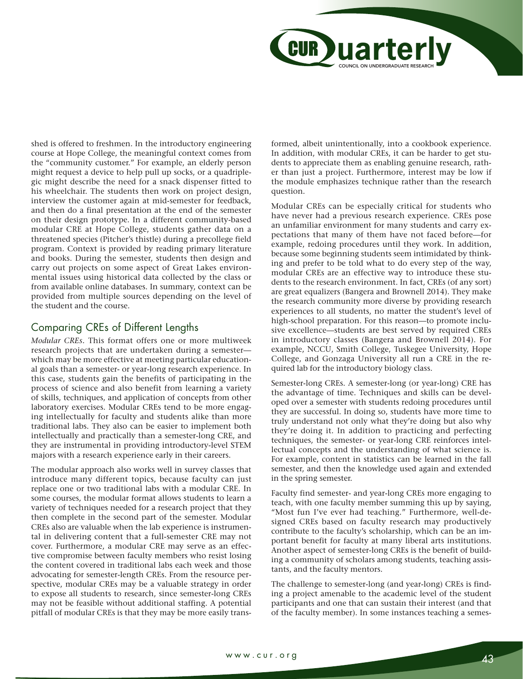

shed is offered to freshmen. In the introductory engineering course at Hope College, the meaningful context comes from the "community customer." For example, an elderly person might request a device to help pull up socks, or a quadriplegic might describe the need for a snack dispenser fitted to his wheelchair. The students then work on project design, interview the customer again at mid-semester for feedback, and then do a final presentation at the end of the semester on their design prototype. In a different community-based modular CRE at Hope College, students gather data on a threatened species (Pitcher's thistle) during a precollege field program. Context is provided by reading primary literature and books. During the semester, students then design and carry out projects on some aspect of Great Lakes environmental issues using historical data collected by the class or from available online databases. In summary, context can be provided from multiple sources depending on the level of the student and the course.

# Comparing CREs of Different Lengths

*Modular CREs.* This format offers one or more multiweek research projects that are undertaken during a semester which may be more effective at meeting particular educational goals than a semester- or year-long research experience. In this case, students gain the benefits of participating in the process of science and also benefit from learning a variety of skills, techniques, and application of concepts from other laboratory exercises. Modular CREs tend to be more engaging intellectually for faculty and students alike than more traditional labs. They also can be easier to implement both intellectually and practically than a semester-long CRE, and they are instrumental in providing introductory-level STEM majors with a research experience early in their careers.

The modular approach also works well in survey classes that introduce many different topics, because faculty can just replace one or two traditional labs with a modular CRE. In some courses, the modular format allows students to learn a variety of techniques needed for a research project that they then complete in the second part of the semester. Modular CREs also are valuable when the lab experience is instrumental in delivering content that a full-semester CRE may not cover. Furthermore, a modular CRE may serve as an effective compromise between faculty members who resist losing the content covered in traditional labs each week and those advocating for semester-length CREs. From the resource perspective, modular CREs may be a valuable strategy in order to expose all students to research, since semester-long CREs may not be feasible without additional staffing. A potential pitfall of modular CREs is that they may be more easily transformed, albeit unintentionally, into a cookbook experience. In addition, with modular CREs, it can be harder to get students to appreciate them as enabling genuine research, rather than just a project. Furthermore, interest may be low if the module emphasizes technique rather than the research question.

Modular CREs can be especially critical for students who have never had a previous research experience. CREs pose an unfamiliar environment for many students and carry expectations that many of them have not faced before—for example, redoing procedures until they work. In addition, because some beginning students seem intimidated by thinking and prefer to be told what to do every step of the way, modular CREs are an effective way to introduce these students to the research environment. In fact, CREs (of any sort) are great equalizers (Bangera and Brownell 2014). They make the research community more diverse by providing research experiences to all students, no matter the student's level of high-school preparation. For this reason—to promote inclusive excellence—students are best served by required CREs in introductory classes (Bangera and Brownell 2014). For example, NCCU, Smith College, Tuskegee University, Hope College, and Gonzaga University all run a CRE in the required lab for the introductory biology class.

Semester-long CREs. A semester-long (or year-long) CRE has the advantage of time. Techniques and skills can be developed over a semester with students redoing procedures until they are successful. In doing so, students have more time to truly understand not only what they're doing but also why they're doing it. In addition to practicing and perfecting techniques, the semester- or year-long CRE reinforces intellectual concepts and the understanding of what science is. For example, content in statistics can be learned in the fall semester, and then the knowledge used again and extended in the spring semester.

Faculty find semester- and year-long CREs more engaging to teach, with one faculty member summing this up by saying, "Most fun I've ever had teaching." Furthermore, well-designed CREs based on faculty research may productively contribute to the faculty's scholarship, which can be an important benefit for faculty at many liberal arts institutions. Another aspect of semester-long CREs is the benefit of building a community of scholars among students, teaching assistants, and the faculty mentors.

The challenge to semester-long (and year-long) CREs is finding a project amenable to the academic level of the student participants and one that can sustain their interest (and that of the faculty member). In some instances teaching a semes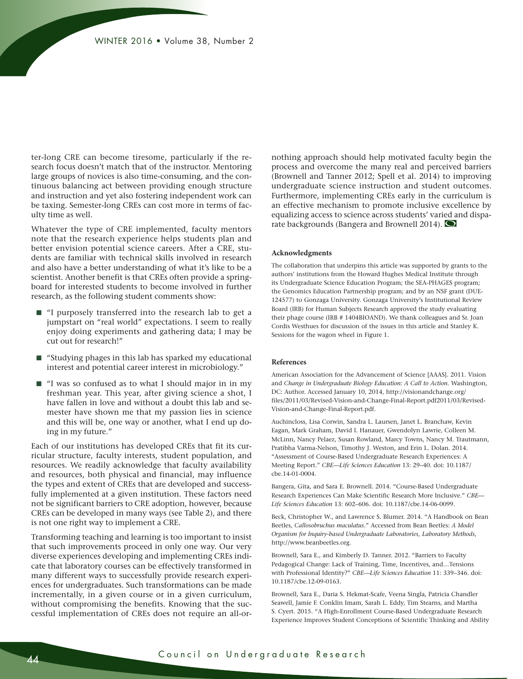ter-long CRE can become tiresome, particularly if the research focus doesn't match that of the instructor. Mentoring large groups of novices is also time-consuming, and the continuous balancing act between providing enough structure and instruction and yet also fostering independent work can be taxing. Semester-long CREs can cost more in terms of faculty time as well.

Whatever the type of CRE implemented, faculty mentors note that the research experience helps students plan and better envision potential science careers. After a CRE, students are familiar with technical skills involved in research and also have a better understanding of what it's like to be a scientist. Another benefit is that CREs often provide a springboard for interested students to become involved in further research, as the following student comments show:

- "I purposely transferred into the research lab to get a jumpstart on "real world" expectations. I seem to really enjoy doing experiments and gathering data; I may be cut out for research!"
- "Studying phages in this lab has sparked my educational interest and potential career interest in microbiology."
- "I was so confused as to what I should major in in my freshman year. This year, after giving science a shot, I have fallen in love and without a doubt this lab and semester have shown me that my passion lies in science and this will be, one way or another, what I end up doing in my future."

Each of our institutions has developed CREs that fit its curricular structure, faculty interests, student population, and resources. We readily acknowledge that faculty availability and resources, both physical and financial, may influence the types and extent of CREs that are developed and successfully implemented at a given institution. These factors need not be significant barriers to CRE adoption, however, because CREs can be developed in many ways (see Table 2), and there is not one right way to implement a CRE.

Transforming teaching and learning is too important to insist that such improvements proceed in only one way. Our very diverse experiences developing and implementing CREs indicate that laboratory courses can be effectively transformed in many different ways to successfully provide research experiences for undergraduates. Such transformations can be made incrementally, in a given course or in a given curriculum, without compromising the benefits. Knowing that the successful implementation of CREs does not require an all-ornothing approach should help motivated faculty begin the process and overcome the many real and perceived barriers (Brownell and Tanner 2012; Spell et al. 2014) to improving undergraduate science instruction and student outcomes. Furthermore, implementing CREs early in the curriculum is an effective mechanism to promote inclusive excellence by equalizing access to science across students' varied and disparate backgrounds (Bangera and Brownell 2014).  $\bigcirc$ 

#### **Acknowledgments**

The collaboration that underpins this article was supported by grants to the authors' institutions from the Howard Hughes Medical Institute through its Undergraduate Science Education Program; the SEA-PHAGES program; the Genomics Education Partnership program; and by an NSF grant (DUE-124577) to Gonzaga University. Gonzaga University's Institutional Review Board (IRB) for Human Subjects Research approved the study evaluating their phage course (IRB # 1404BIOAND). We thank colleagues and Sr. Joan Cordis Westhues for discussion of the issues in this article and Stanley K. Sessions for the wagon wheel in Figure 1.

#### **References**

American Association for the Advancement of Science [AAAS]. 2011. Vision and *Change in Undergraduate Biology Education: A Call to Action*. Washington, DC: Author. Accessed January 10, 2014, http://visionandchange.org/ files/2011/03/Revised-Vision-and-Change-Final-Report.pdf2011/03/Revised-Vision-and-Change-Final-Report.pdf.

Auchincloss, Lisa Corwin, Sandra L. Laursen, Janet L. Branchaw, Kevin Eagan, Mark Graham, David I. Hanauer, Gwendolyn Lawrie, Colleen M. McLinn, Nancy Pelaez, Susan Rowland, Marcy Towns, Nancy M. Trautmann, Pratibha Varma-Nelson, Timothy J. Weston, and Erin L. Dolan. 2014. "Assessment of Course-Based Undergraduate Research Experiences: A Meeting Report." *CBE—Life Sciences Education* 13: 29–40. doi: 10.1187/ cbe.14-01-0004.

Bangera, Gita, and Sara E. Brownell. 2014. "Course-Based Undergraduate Research Experiences Can Make Scientific Research More Inclusive." *CBE— Life Sciences Education* 13: 602–606. doi: 10.1187/cbe.14-06-0099.

Beck, Christopher W., and Lawrence S. Blumer. 2014. "A Handbook on Bean Beetles, *Callosobruchus maculatus*." Accessed from Bean Beetles: *A Model Organism for Inquiry-based Undergraduate Laboratories, Laboratory Methods*, http://www.beanbeetles.org.

Brownell, Sara E., and Kimberly D. Tanner. 2012. "Barriers to Faculty Pedagogical Change: Lack of Training, Time, Incentives, and…Tensions with Professional Identity?" *CBE—Life Sciences Education* 11: 339–346. doi: 10.1187/cbe.12-09-0163.

Brownell, Sara E., Daria S. Hekmat-Scafe, Veena Singla, Patricia Chandler Seawell, Jamie F. Conklin Imam, Sarah L. Eddy, Tim Stearns, and Martha S. Cyert. 2015. "A High-Enrollment Course-Based Undergraduate Research Experience Improves Student Conceptions of Scientific Thinking and Ability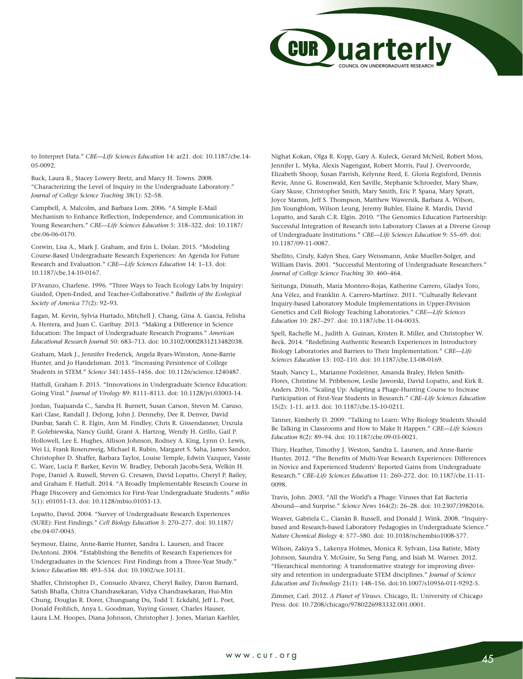

to Interpret Data." *CBE—Life Sciences Education* 14: ar21. doi: 10.1187/cbe.14- 05-0092.

Buck, Laura B., Stacey Lowery Bretz, and Marcy H. Towns. 2008. "Characterizing the Level of Inquiry in the Undergraduate Laboratory." *Journal of College Science Teaching* 38(1): 52–58.

Campbell, A. Malcolm, and Barbara Lom. 2006. "A Simple E-Mail Mechanism to Enhance Reflection, Independence, and Communication in Young Researchers." *CBE—Life Sciences Education* 5: 318–322. doi: 10.1187/ cbe.06-06-0170.

Corwin, Lisa A., Mark J. Graham, and Erin L. Dolan. 2015. "Modeling Course-Based Undergraduate Research Experiences: An Agenda for Future Research and Evaluation." *CBE—Life Sciences Education* 14: 1–13. doi: 10.1187/cbe.14-10-0167.

D'Avanzo, Charlene. 1996. "Three Ways to Teach Ecology Labs by Inquiry: Guided, Open-Ended, and Teacher-Collaborative." *Bulletin of the Ecological Society of America* 77(2): 92–93.

Eagan, M. Kevin, Sylvia Hurtado, Mitchell J. Chang, Gina A. Garcia, Felisha A. Herrera, and Juan C. Garibay. 2013. "Making a Difference in Science Education: The Impact of Undergraduate Research Programs." *American Educational Research Journa*l 50: 683–713. doi: 10.3102/0002831213482038.

Graham, Mark J., Jennifer Frederick, Angela Byars-Winston, Anne-Barrie Hunter, and Jo Handelsman. 2013. "Increasing Persistence of College Students in STEM." *Science* 341:1455–1456. doi: 10.1126/science.1240487.

Hatfull, Graham F. 2015. "Innovations in Undergraduate Science Education: Going Viral." *Journal of Virology* 89: 8111–8113. doi: 10.1128/jvi.03003-14.

Jordan, Tuajuanda C., Sandra H. Burnett, Susan Carson, Steven M. Caruso, Kari Clase, Randall J. DeJong, John J. Dennehy, Dee R. Denver, David Dunbar, Sarah C. R. Elgin, Ann M. Findley, Chris R. Gissendanner, Urszula P. Golebiewska, Nancy Guild, Grant A. Hartzog, Wendy H. Grillo, Gail P. Hollowell, Lee E. Hughes, Allison Johnson, Rodney A. King, Lynn O. Lewis, Wei Li, Frank Rosenzweig, Michael R. Rubin, Margaret S. Saha, James Sandoz, Christopher D. Shaffer, Barbara Taylor, Louise Temple, Edwin Vazquez, Vassie C. Ware, Lucia P. Barker, Kevin W. Bradley, Deborah Jacobs-Sera, Welkin H. Pope, Daniel A. Russell, Steven G. Cresawn, David Lopatto, Cheryl P. Bailey, and Graham F. Hatfull. 2014. "A Broadly Implementable Research Course in Phage Discovery and Genomics for First-Year Undergraduate Students." *mBio*  5(1): e01051-13. doi: 10.1128/mbio.01051-13.

Lopatto, David. 2004. "Survey of Undergraduate Research Experiences (SURE): First Findings." *Cell Biology Education* 3: 270–277. doi: 10.1187/ cbe.04-07-0045.

Seymour, Elaine, Anne-Barrie Hunter, Sandra L. Laursen, and Tracee DeAntoni. 2004. "Establishing the Benefits of Research Experiences for Undergraduates in the Sciences: First Findings from a Three-Year Study." *Science Education* 88: 493–534. doi: 10.1002/sce.10131.

Shaffer, Christopher D., Consuelo Alvarez, Cheryl Bailey, Daron Barnard, Satish Bhalla, Chitra Chandrasekaran, Vidya Chandrasekaran, Hui-Min Chung, Douglas R. Dorer, Chunguang Du, Todd T. Eckdahl, Jeff L. Poet, Donald Frohlich, Anya L. Goodman, Yuying Gosser, Charles Hauser, Laura L.M. Hoopes, Diana Johnson, Christopher J. Jones, Marian Kaehler, Nighat Kokan, Olga R. Kopp, Gary A. Kuleck, Gerard McNeil, Robert Moss, Jennifer L. Myka, Alexis Nagengast, Robert Morris, Paul J. Overvoorde, Elizabeth Shoop, Susan Parrish, Kelynne Reed, E. Gloria Regisford, Dennis Revie, Anne G. Rosenwald, Ken Saville, Stephanie Schroeder, Mary Shaw, Gary Skuse, Christopher Smith, Mary Smith, Eric P. Spana, Mary Spratt, Joyce Stamm, Jeff S. Thompson, Matthew Wawersik, Barbara A. Wilson, Jim Youngblom, Wilson Leung, Jeremy Buhler, Elaine R. Mardis, David Lopatto, and Sarah C.R. Elgin. 2010. "The Genomics Education Partnership: Successful Integration of Research into Laboratory Classes at a Diverse Group of Undergraduate Institutions." *CBE—Life Sciences Education* 9: 55–69. doi: 10.1187/09-11-0087.

Shellito, Cindy, Kalyn Shea, Gary Weissmann, Anke Mueller-Solger, and William Davis. 2001. "Successful Mentoring of Undergraduate Researchers." *Journal of College Science Teaching* 30: 460–464.

Siritunga, Dimuth, María Montero-Rojas, Katherine Carrero, Gladys Toro, Ana Vélez, and Franklin A. Carrero-Martínez. 2011. "Culturally Relevant Inquiry-based Laboratory Module Implementations in Upper-Division Genetics and Cell Biology Teaching Laboratories." *CBE—Life Sciences Education* 10: 287–297. doi: 10.1187/cbe.11-04-0035.

Spell, Rachelle M., Judith A. Guinan, Kristen R. Miller, and Christopher W. Beck. 2014. "Redefining Authentic Research Experiences in Introductory Biology Laboratories and Barriers to Their Implementation." *CBE—Life Sciences Education* 13: 102–110. doi: 10.1187/cbe.13-08-0169.

Staub, Nancy L., Marianne Poxleitner, Amanda Braley, Helen Smith-Flores, Christine M. Pribbenow, Leslie Jaworski, David Lopatto, and Kirk R. Anders. 2016. "Scaling Up: Adapting a Phage-Hunting Course to Increase Participation of First-Year Students in Research." *CBE–Life Sciences Education*  15(2): 1-11. ar13. doi: 10.1187/cbe.15-10-0211.

Tanner, Kimberly D. 2009. "Talking to Learn: Why Biology Students Should Be Talking in Classrooms and How to Make It Happen." *CBE—Life Sciences Education* 8(2): 89–94. doi: 10.1187/cbe.09-03-0021.

Thiry, Heather, Timothy J. Weston, Sandra L. Laursen, and Anne-Barrie Hunter. 2012. "The Benefits of Multi-Year Research Experiences: Differences in Novice and Experienced Students' Reported Gains from Undergraduate Research." *CBE–Life Sciences Education* 11: 260–272. doi: 10.1187/cbe.11-11- 0098.

Travis, John. 2003. "All the World's a Phage: Viruses that Eat Bacteria Abound—and Surprise." *Science News* 164(2): 26–28. doi: 10.2307/3982016.

Weaver, Gabriela C., Cianán B. Russell, and Donald J. Wink. 2008. "Inquirybased and Research-based Laboratory Pedagogies in Undergraduate Science." *Nature Chemical Biology* 4: 577–580. doi: 10.1038/nchembio1008-577.

Wilson, Zakiya S., Lakenya Holmes, Monica R. Sylvain, Lisa Batiste, Misty Johnson, Saundra Y. McGuire, Su Seng Pang, and Isiah M. Warner. 2012. "Hierarchical mentoring: A transformative strategy for improving diversity and retention in undergraduate STEM disciplines." *Journal of Science Education and Technology* 21(1): 148–156. doi:10.1007/s10956-011-9292-5.

Zimmer, Carl. 2012. *A Planet of Viruses*. Chicago, IL: University of Chicago Press. doi: 10.7208/chicago/9780226983332.001.0001.